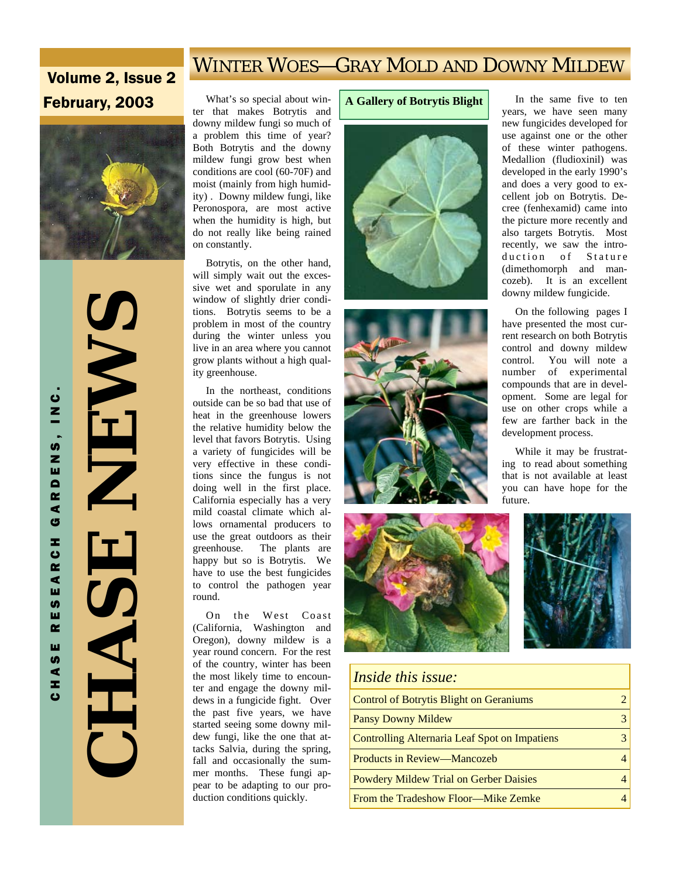## WINTER WOES—GRAY MOLD AND DOWNY MILDEW

# Volume 2, Issue 2



 **CHASE NEWS NEWS** HASE

**February, 2003** What's so special about winter that makes Botrytis and downy mildew fungi so much of a problem this time of year? Both Botrytis and the downy mildew fungi grow best when conditions are cool (60-70F) and moist (mainly from high humidity) . Downy mildew fungi, like Peronospora, are most active when the humidity is high, but do not really like being rained on constantly.

> Botrytis, on the other hand, will simply wait out the excessive wet and sporulate in any window of slightly drier conditions. Botrytis seems to be a problem in most of the country during the winter unless you live in an area where you cannot grow plants without a high quality greenhouse.

> In the northeast, conditions outside can be so bad that use of heat in the greenhouse lowers the relative humidity below the level that favors Botrytis. Using a variety of fungicides will be very effective in these conditions since the fungus is not doing well in the first place. California especially has a very mild coastal climate which allows ornamental producers to use the great outdoors as their greenhouse. The plants are happy but so is Botrytis. We have to use the best fungicides to control the pathogen year round.

> On the West Coast (California, Washington and Oregon), downy mildew is a year round concern. For the rest of the country, winter has been the most likely time to encounter and engage the downy mildews in a fungicide fight. Over the past five years, we have started seeing some downy mildew fungi, like the one that attacks Salvia, during the spring, fall and occasionally the summer months. These fungi appear to be adapting to our production conditions quickly.

#### **A Gallery of Botrytis Blight**









| <i>Inside this issue:</i>                      |  |
|------------------------------------------------|--|
| <b>Control of Botrytis Blight on Geraniums</b> |  |
| <b>Pansy Downy Mildew</b>                      |  |
| Controlling Alternaria Leaf Spot on Impatiens  |  |
| Products in Review—Mancozeb                    |  |
| <b>Powdery Mildew Trial on Gerber Daisies</b>  |  |
| From the Tradeshow Floor—Mike Zemke            |  |

 In the same five to ten years, we have seen many new fungicides developed for use against one or the other of these winter pathogens. Medallion (fludioxinil) was developed in the early 1990's and does a very good to excellent job on Botrytis. Decree (fenhexamid) came into the picture more recently and also targets Botrytis. Most recently, we saw the introduction of Stature (dimethomorph and mancozeb). It is an excellent downy mildew fungicide.

 On the following pages I have presented the most current research on both Botrytis control and downy mildew control. You will note a number of experimental compounds that are in development. Some are legal for use on other crops while a few are farther back in the development process.

 While it may be frustrating to read about something that is not available at least you can have hope for the future.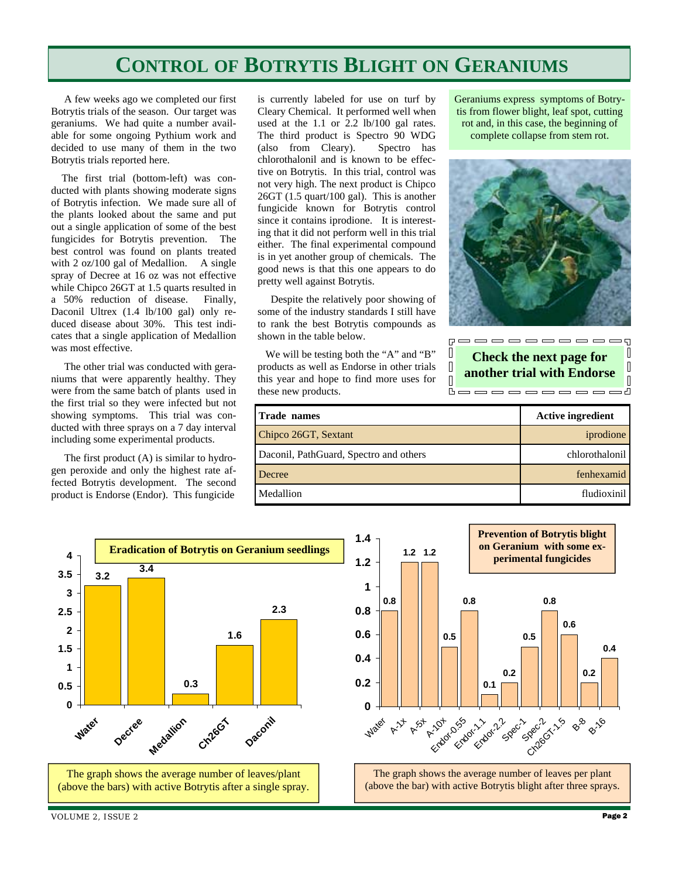# **CONTROL OF BOTRYTIS BLIGHT ON GERANIUMS**

 A few weeks ago we completed our first Botrytis trials of the season. Our target was geraniums. We had quite a number available for some ongoing Pythium work and decided to use many of them in the two Botrytis trials reported here.

 The first trial (bottom-left) was conducted with plants showing moderate signs of Botrytis infection. We made sure all of the plants looked about the same and put out a single application of some of the best fungicides for Botrytis prevention. The best control was found on plants treated with 2 oz/100 gal of Medallion. A single spray of Decree at 16 oz was not effective while Chipco 26GT at 1.5 quarts resulted in a 50% reduction of disease. Finally, Daconil Ultrex (1.4 lb/100 gal) only reduced disease about 30%. This test indicates that a single application of Medallion was most effective.

 The other trial was conducted with geraniums that were apparently healthy. They were from the same batch of plants used in the first trial so they were infected but not showing symptoms. This trial was conducted with three sprays on a 7 day interval including some experimental products.

 The first product (A) is similar to hydrogen peroxide and only the highest rate affected Botrytis development. The second product is Endorse (Endor). This fungicide

is currently labeled for use on turf by Cleary Chemical. It performed well when used at the 1.1 or 2.2 lb/100 gal rates. The third product is Spectro 90 WDG (also from Cleary). Spectro has chlorothalonil and is known to be effective on Botrytis. In this trial, control was not very high. The next product is Chipco 26GT (1.5 quart/100 gal). This is another fungicide known for Botrytis control since it contains iprodione. It is interesting that it did not perform well in this trial either. The final experimental compound is in yet another group of chemicals. The good news is that this one appears to do pretty well against Botrytis.

 Despite the relatively poor showing of some of the industry standards I still have to rank the best Botrytis compounds as shown in the table below.

 We will be testing both the "A" and "B" products as well as Endorse in other trials this year and hope to find more uses for these new products.

Geraniums express symptoms of Botrytis from flower blight, leaf spot, cutting rot and, in this case, the beginning of complete collapse from stem rot.



**Check the next page for another trial with Endorse** 

**Booooooooo** 

 $\hfill\Box$ 

I  $\overline{\mathbb{R}}$ 

s d

**Trade names** Active ingredient Chipco 26GT, Sextant include the contract of the contract of the contract of the contract of the contract of the contract of the contract of the contract of the contract of the contract of the contract of the contract of t Daconil, PathGuard, Spectro and others chlorothalonil Decree fenhexamid Medallion **fludioxinil here** is the state of the state of the fludioxinil

 $\Box$ 

 $\overline{\Pi}$ 

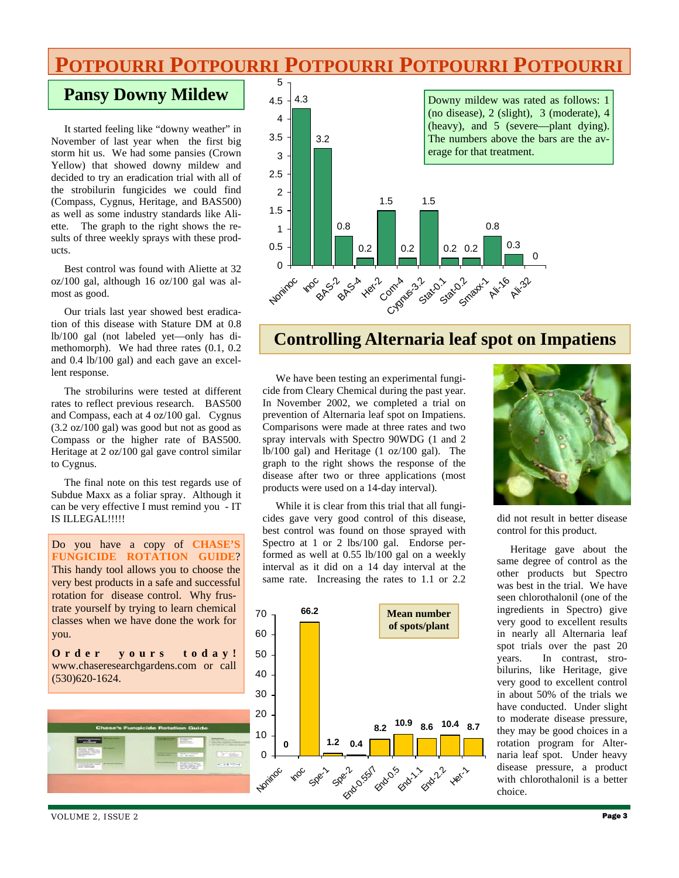# **POTPOURRI POTPOURRI POTPOURRI POTPOURRI POTPOURRI**

## **Pansy Downy Mildew**

 It started feeling like "downy weather" in November of last year when the first big storm hit us. We had some pansies (Crown Yellow) that showed downy mildew and decided to try an eradication trial with all of the strobilurin fungicides we could find (Compass, Cygnus, Heritage, and BAS500) as well as some industry standards like Aliette. The graph to the right shows the results of three weekly sprays with these products.

 Best control was found with Aliette at 32 oz/100 gal, although 16 oz/100 gal was almost as good.

 Our trials last year showed best eradication of this disease with Stature DM at 0.8 lb/100 gal (not labeled yet—only has dimethomorph). We had three rates (0.1, 0.2 and 0.4 lb/100 gal) and each gave an excellent response.

 The strobilurins were tested at different rates to reflect previous research. BAS500 and Compass, each at 4 oz/100 gal. Cygnus (3.2 oz/100 gal) was good but not as good as Compass or the higher rate of BAS500. Heritage at 2 oz/100 gal gave control similar to Cygnus.

 The final note on this test regards use of Subdue Maxx as a foliar spray. Although it can be very effective I must remind you - IT IS ILLEGAL!!!!!

Do you have a copy of **CHASE'S FUNGICIDE ROTATION GUIDE**? This handy tool allows you to choose the very best products in a safe and successful rotation for disease control. Why frustrate yourself by trying to learn chemical classes when we have done the work for you.

**Order yours today!** www.chaseresearchgardens.com or call (530)620-1624.





## **Controlling Alternaria leaf spot on Impatiens**

 We have been testing an experimental fungicide from Cleary Chemical during the past year. In November 2002, we completed a trial on prevention of Alternaria leaf spot on Impatiens. Comparisons were made at three rates and two spray intervals with Spectro 90WDG (1 and 2 lb/100 gal) and Heritage (1 oz/100 gal). The graph to the right shows the response of the disease after two or three applications (most products were used on a 14-day interval).

 While it is clear from this trial that all fungicides gave very good control of this disease, best control was found on those sprayed with Spectro at 1 or 2 lbs/100 gal. Endorse performed as well at 0.55 lb/100 gal on a weekly interval as it did on a 14 day interval at the same rate. Increasing the rates to 1.1 or 2.2





did not result in better disease control for this product.

 Heritage gave about the same degree of control as the other products but Spectro was best in the trial. We have seen chlorothalonil (one of the ingredients in Spectro) give very good to excellent results in nearly all Alternaria leaf spot trials over the past 20 years. In contrast, strobilurins, like Heritage, give very good to excellent control in about 50% of the trials we have conducted. Under slight to moderate disease pressure, they may be good choices in a rotation program for Alternaria leaf spot. Under heavy disease pressure, a product with chlorothalonil is a better choice.

VOLUME 2, ISSUE 2 **Page 3**